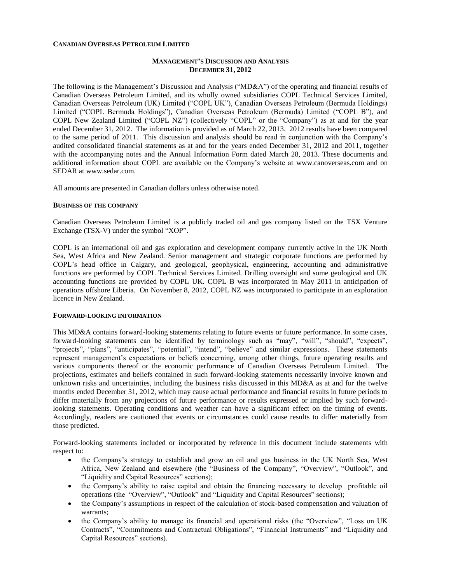### **CANADIAN OVERSEAS PETROLEUM LIMITED**

## **MANAGEMENT'S DISCUSSION AND ANALYSIS DECEMBER 31, 2012**

The following is the Management's Discussion and Analysis ("MD&A") of the operating and financial results of Canadian Overseas Petroleum Limited, and its wholly owned subsidiaries COPL Technical Services Limited, Canadian Overseas Petroleum (UK) Limited ("COPL UK"), Canadian Overseas Petroleum (Bermuda Holdings) Limited ("COPL Bermuda Holdings"), Canadian Overseas Petroleum (Bermuda) Limited ("COPL B"), and COPL New Zealand Limited ("COPL NZ") (collectively "COPL" or the "Company") as at and for the year ended December 31, 2012. The information is provided as of March 22, 2013. 2012 results have been compared to the same period of 2011. This discussion and analysis should be read in conjunction with the Company's audited consolidated financial statements as at and for the years ended December 31, 2012 and 2011, together with the accompanying notes and the Annual Information Form dated March 28, 2013. These documents and additional information about COPL are available on the Company's website at [www.canoverseas.com](http://www.canoverseas.com/) and on SEDAR at [www.sedar.com.](http://www.sedar.com/)

All amounts are presented in Canadian dollars unless otherwise noted.

#### **BUSINESS OF THE COMPANY**

Canadian Overseas Petroleum Limited is a publicly traded oil and gas company listed on the TSX Venture Exchange (TSX-V) under the symbol "XOP".

COPL is an international oil and gas exploration and development company currently active in the UK North Sea, West Africa and New Zealand. Senior management and strategic corporate functions are performed by COPL's head office in Calgary, and geological, geophysical, engineering, accounting and administrative functions are performed by COPL Technical Services Limited. Drilling oversight and some geological and UK accounting functions are provided by COPL UK. COPL B was incorporated in May 2011 in anticipation of operations offshore Liberia. On November 8, 2012, COPL NZ was incorporated to participate in an exploration licence in New Zealand.

## **FORWARD-LOOKING INFORMATION**

This MD&A contains forward-looking statements relating to future events or future performance. In some cases, forward-looking statements can be identified by terminology such as "may", "will", "should", "expects", "projects", "plans", "anticipates", "potential", "intend", "believe" and similar expressions. These statements represent management's expectations or beliefs concerning, among other things, future operating results and various components thereof or the economic performance of Canadian Overseas Petroleum Limited. The projections, estimates and beliefs contained in such forward-looking statements necessarily involve known and unknown risks and uncertainties, including the business risks discussed in this MD&A as at and for the twelve months ended December 31, 2012, which may cause actual performance and financial results in future periods to differ materially from any projections of future performance or results expressed or implied by such forwardlooking statements. Operating conditions and weather can have a significant effect on the timing of events. Accordingly, readers are cautioned that events or circumstances could cause results to differ materially from those predicted.

Forward-looking statements included or incorporated by reference in this document include statements with respect to:

- the Company's strategy to establish and grow an oil and gas business in the UK North Sea, West Africa, New Zealand and elsewhere (the "Business of the Company", "Overview", "Outlook", and "Liquidity and Capital Resources" sections);
- the Company's ability to raise capital and obtain the financing necessary to develop profitable oil operations (the "Overview", "Outlook" and "Liquidity and Capital Resources" sections);
- the Company's assumptions in respect of the calculation of stock-based compensation and valuation of warrants;
- the Company's ability to manage its financial and operational risks (the "Overview", "Loss on UK Contracts", "Commitments and Contractual Obligations", "Financial Instruments" and "Liquidity and Capital Resources" sections).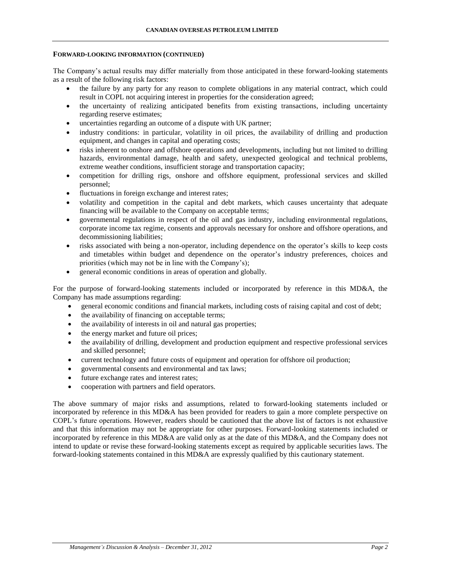#### **FORWARD-LOOKING INFORMATION (CONTINUED)**

The Company's actual results may differ materially from those anticipated in these forward-looking statements as a result of the following risk factors:

- the failure by any party for any reason to complete obligations in any material contract, which could result in COPL not acquiring interest in properties for the consideration agreed;
- the uncertainty of realizing anticipated benefits from existing transactions, including uncertainty regarding reserve estimates;
- uncertainties regarding an outcome of a dispute with UK partner;
- industry conditions: in particular, volatility in oil prices, the availability of drilling and production equipment, and changes in capital and operating costs;
- risks inherent to onshore and offshore operations and developments, including but not limited to drilling hazards, environmental damage, health and safety, unexpected geological and technical problems, extreme weather conditions, insufficient storage and transportation capacity;
- competition for drilling rigs, onshore and offshore equipment, professional services and skilled personnel;
- fluctuations in foreign exchange and interest rates;
- volatility and competition in the capital and debt markets, which causes uncertainty that adequate financing will be available to the Company on acceptable terms;
- governmental regulations in respect of the oil and gas industry, including environmental regulations, corporate income tax regime, consents and approvals necessary for onshore and offshore operations, and decommissioning liabilities;
- risks associated with being a non-operator, including dependence on the operator's skills to keep costs and timetables within budget and dependence on the operator's industry preferences, choices and priorities (which may not be in line with the Company's);
- general economic conditions in areas of operation and globally.

For the purpose of forward-looking statements included or incorporated by reference in this MD&A, the Company has made assumptions regarding:

- general economic conditions and financial markets, including costs of raising capital and cost of debt;
- the availability of financing on acceptable terms;
- the availability of interests in oil and natural gas properties;
- the energy market and future oil prices;
- the availability of drilling, development and production equipment and respective professional services and skilled personnel;
- current technology and future costs of equipment and operation for offshore oil production;
- governmental consents and environmental and tax laws;
- future exchange rates and interest rates;
- cooperation with partners and field operators.

The above summary of major risks and assumptions, related to forward-looking statements included or incorporated by reference in this MD&A has been provided for readers to gain a more complete perspective on COPL's future operations. However, readers should be cautioned that the above list of factors is not exhaustive and that this information may not be appropriate for other purposes. Forward-looking statements included or incorporated by reference in this MD&A are valid only as at the date of this MD&A, and the Company does not intend to update or revise these forward-looking statements except as required by applicable securities laws. The forward-looking statements contained in this MD&A are expressly qualified by this cautionary statement.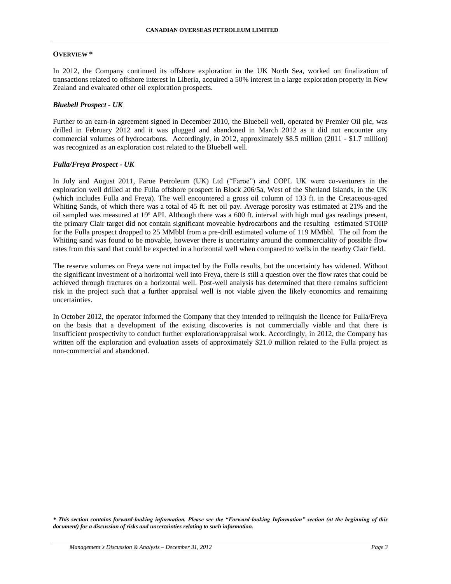### **OVERVIEW \***

In 2012, the Company continued its offshore exploration in the UK North Sea, worked on finalization of transactions related to offshore interest in Liberia, acquired a 50% interest in a large exploration property in New Zealand and evaluated other oil exploration prospects.

## *Bluebell Prospect - UK*

Further to an earn-in agreement signed in December 2010, the Bluebell well, operated by Premier Oil plc, was drilled in February 2012 and it was plugged and abandoned in March 2012 as it did not encounter any commercial volumes of hydrocarbons. Accordingly, in 2012, approximately \$8.5 million (2011 - \$1.7 million) was recognized as an exploration cost related to the Bluebell well.

#### *Fulla/Freya Prospect - UK*

In July and August 2011, Faroe Petroleum (UK) Ltd ("Faroe") and COPL UK were co-venturers in the exploration well drilled at the Fulla offshore prospect in Block 206/5a, West of the Shetland Islands, in the UK (which includes Fulla and Freya). The well encountered a gross oil column of 133 ft. in the Cretaceous-aged Whiting Sands, of which there was a total of 45 ft. net oil pay. Average porosity was estimated at 21% and the oil sampled was measured at 19º API. Although there was a 600 ft. interval with high mud gas readings present, the primary Clair target did not contain significant moveable hydrocarbons and the resulting estimated STOIIP for the Fulla prospect dropped to 25 MMbbl from a pre-drill estimated volume of 119 MMbbl. The oil from the Whiting sand was found to be movable, however there is uncertainty around the commerciality of possible flow rates from this sand that could be expected in a horizontal well when compared to wells in the nearby Clair field.

The reserve volumes on Freya were not impacted by the Fulla results, but the uncertainty has widened. Without the significant investment of a horizontal well into Freya, there is still a question over the flow rates that could be achieved through fractures on a horizontal well. Post-well analysis has determined that there remains sufficient risk in the project such that a further appraisal well is not viable given the likely economics and remaining uncertainties.

In October 2012, the operator informed the Company that they intended to relinquish the licence for Fulla/Freya on the basis that a development of the existing discoveries is not commercially viable and that there is insufficient prospectivity to conduct further exploration/appraisal work. Accordingly, in 2012, the Company has written off the exploration and evaluation assets of approximately \$21.0 million related to the Fulla project as non-commercial and abandoned.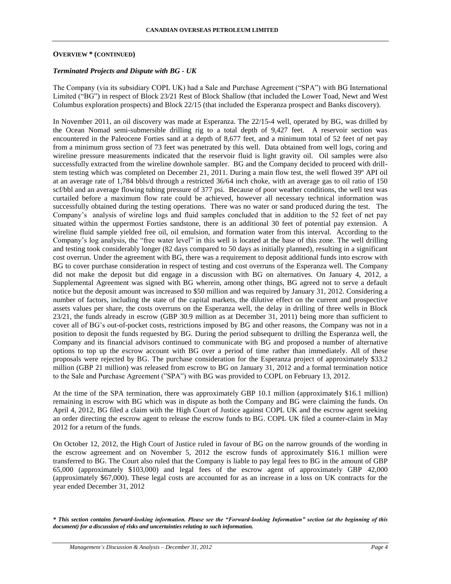## **OVERVIEW \* (CONTINUED)**

## *Terminated Projects and Dispute with BG - UK*

The Company (via its subsidiary COPL UK) had a Sale and Purchase Agreement ("SPA") with BG International Limited ("BG") in respect of Block 23/21 Rest of Block Shallow (that included the Lower Toad, Newt and West Columbus exploration prospects) and Block 22/15 (that included the Esperanza prospect and Banks discovery).

In November 2011, an oil discovery was made at Esperanza. The 22/15-4 well, operated by BG, was drilled by the Ocean Nomad semi-submersible drilling rig to a total depth of 9,427 feet. A reservoir section was encountered in the Paleocene Forties sand at a depth of 8,677 feet, and a minimum total of 52 feet of net pay from a minimum gross section of 73 feet was penetrated by this well. Data obtained from well logs, coring and wireline pressure measurements indicated that the reservoir fluid is light gravity oil. Oil samples were also successfully extracted from the wireline downhole sampler. BG and the Company decided to proceed with drillstem testing which was completed on December 21, 2011. During a main flow test, the well flowed 39º API oil at an average rate of 1,784 bbls/d through a restricted 36/64 inch choke, with an average gas to oil ratio of 150 scf/bbl and an average flowing tubing pressure of 377 psi. Because of poor weather conditions, the well test was curtailed before a maximum flow rate could be achieved, however all necessary technical information was successfully obtained during the testing operations. There was no water or sand produced during the test. The Company's analysis of wireline logs and fluid samples concluded that in addition to the 52 feet of net pay situated within the uppermost Forties sandstone, there is an additional 30 feet of potential pay extension. A wireline fluid sample yielded free oil, oil emulsion, and formation water from this interval. According to the Company's log analysis, the "free water level" in this well is located at the base of this zone. The well drilling and testing took considerably longer (82 days compared to 50 days as initially planned), resulting in a significant cost overrun. Under the agreement with BG, there was a requirement to deposit additional funds into escrow with BG to cover purchase consideration in respect of testing and cost overruns of the Esperanza well. The Company did not make the deposit but did engage in a discussion with BG on alternatives. On January 4, 2012, a Supplemental Agreement was signed with BG wherein, among other things, BG agreed not to serve a default notice but the deposit amount was increased to \$50 million and was required by January 31, 2012. Considering a number of factors, including the state of the capital markets, the dilutive effect on the current and prospective assets values per share, the costs overruns on the Esperanza well, the delay in drilling of three wells in Block 23/21, the funds already in escrow (GBP 30.9 million as at December 31, 2011) being more than sufficient to cover all of BG's out-of-pocket costs, restrictions imposed by BG and other reasons, the Company was not in a position to deposit the funds requested by BG. During the period subsequent to drilling the Esperanza well, the Company and its financial advisors continued to communicate with BG and proposed a number of alternative options to top up the escrow account with BG over a period of time rather than immediately. All of these proposals were rejected by BG. The purchase consideration for the Esperanza project of approximately \$33.2 million (GBP 21 million) was released from escrow to BG on January 31, 2012 and a formal termination notice to the Sale and Purchase Agreement ("SPA") with BG was provided to COPL on February 13, 2012.

At the time of the SPA termination, there was approximately GBP 10.1 million (approximately \$16.1 million) remaining in escrow with BG which was in dispute as both the Company and BG were claiming the funds. On April 4, 2012, BG filed a claim with the High Court of Justice against COPL UK and the escrow agent seeking an order directing the escrow agent to release the escrow funds to BG. COPL UK filed a counter-claim in May 2012 for a return of the funds.

On October 12, 2012, the High Court of Justice ruled in favour of BG on the narrow grounds of the wording in the escrow agreement and on November 5, 2012 the escrow funds of approximately \$16.1 million were transferred to BG. The Court also ruled that the Company is liable to pay legal fees to BG in the amount of GBP 65,000 (approximately \$103,000) and legal fees of the escrow agent of approximately GBP 42,000 (approximately \$67,000). These legal costs are accounted for as an increase in a loss on UK contracts for the year ended December 31, 2012

*<sup>\*</sup> This section contains forward-looking information. Please see the "Forward-looking Information" section (at the beginning of this document) for a discussion of risks and uncertainties relating to such information.*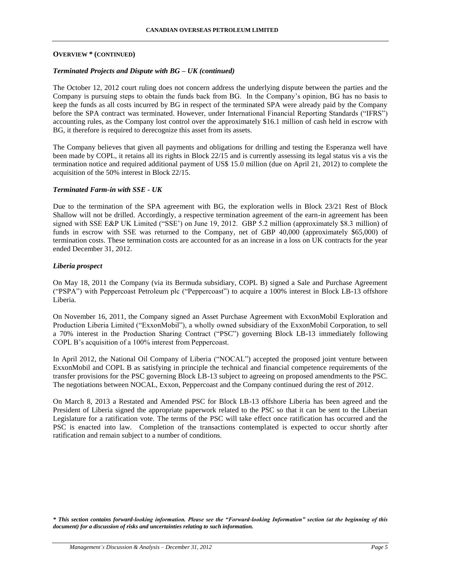## **OVERVIEW \* (CONTINUED)**

## *Terminated Projects and Dispute with BG – UK (continued)*

The October 12, 2012 court ruling does not concern address the underlying dispute between the parties and the Company is pursuing steps to obtain the funds back from BG. In the Company's opinion, BG has no basis to keep the funds as all costs incurred by BG in respect of the terminated SPA were already paid by the Company before the SPA contract was terminated. However, under International Financial Reporting Standards ("IFRS") accounting rules, as the Company lost control over the approximately \$16.1 million of cash held in escrow with BG, it therefore is required to derecognize this asset from its assets.

The Company believes that given all payments and obligations for drilling and testing the Esperanza well have been made by COPL, it retains all its rights in Block 22/15 and is currently assessing its legal status vis a vis the termination notice and required additional payment of US\$ 15.0 million (due on April 21, 2012) to complete the acquisition of the 50% interest in Block 22/15.

## *Terminated Farm-in with SSE - UK*

Due to the termination of the SPA agreement with BG, the exploration wells in Block 23/21 Rest of Block Shallow will not be drilled. Accordingly, a respective termination agreement of the earn-in agreement has been signed with SSE E&P UK Limited ("SSE') on June 19, 2012. GBP 5.2 million (approximately \$8.3 million) of funds in escrow with SSE was returned to the Company, net of GBP 40,000 (approximately \$65,000) of termination costs. These termination costs are accounted for as an increase in a loss on UK contracts for the year ended December 31, 2012.

## *Liberia prospect*

On May 18, 2011 the Company (via its Bermuda subsidiary, COPL B) signed a Sale and Purchase Agreement ("PSPA") with Peppercoast Petroleum plc ("Peppercoast") to acquire a 100% interest in Block LB-13 offshore Liberia.

On November 16, 2011, the Company signed an Asset Purchase Agreement with ExxonMobil Exploration and Production Liberia Limited ("ExxonMobil"), a wholly owned subsidiary of the ExxonMobil Corporation, to sell a 70% interest in the Production Sharing Contract ("PSC") governing Block LB-13 immediately following COPL B's acquisition of a 100% interest from Peppercoast.

In April 2012, the National Oil Company of Liberia ("NOCAL") accepted the proposed joint venture between ExxonMobil and COPL B as satisfying in principle the technical and financial competence requirements of the transfer provisions for the PSC governing Block LB-13 subject to agreeing on proposed amendments to the PSC. The negotiations between NOCAL, Exxon, Peppercoast and the Company continued during the rest of 2012.

On March 8, 2013 a Restated and Amended PSC for Block LB-13 offshore Liberia has been agreed and the President of Liberia signed the appropriate paperwork related to the PSC so that it can be sent to the Liberian Legislature for a ratification vote. The terms of the PSC will take effect once ratification has occurred and the PSC is enacted into law. Completion of the transactions contemplated is expected to occur shortly after ratification and remain subject to a number of conditions.

*<sup>\*</sup> This section contains forward-looking information. Please see the "Forward-looking Information" section (at the beginning of this document) for a discussion of risks and uncertainties relating to such information.*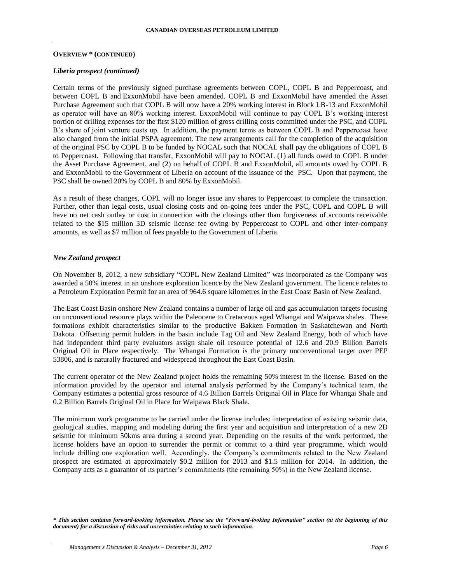#### **OVERVIEW \* (CONTINUED)**

#### *Liberia prospect (continued)*

Certain terms of the previously signed purchase agreements between COPL, COPL B and Peppercoast, and between COPL B and ExxonMobil have been amended. COPL B and ExxonMobil have amended the Asset Purchase Agreement such that COPL B will now have a 20% working interest in Block LB-13 and ExxonMobil as operator will have an 80% working interest. ExxonMobil will continue to pay COPL B's working interest portion of drilling expenses for the first \$120 million of gross drilling costs committed under the PSC, and COPL B's share of joint venture costs up. In addition, the payment terms as between COPL B and Peppercoast have also changed from the initial PSPA agreement. The new arrangements call for the completion of the acquisition of the original PSC by COPL B to be funded by NOCAL such that NOCAL shall pay the obligations of COPL B to Peppercoast. Following that transfer, ExxonMobil will pay to NOCAL (1) all funds owed to COPL B under the Asset Purchase Agreement, and (2) on behalf of COPL B and ExxonMobil, all amounts owed by COPL B and ExxonMobil to the Government of Liberia on account of the issuance of the PSC. Upon that payment, the PSC shall be owned 20% by COPL B and 80% by ExxonMobil.

As a result of these changes, COPL will no longer issue any shares to Peppercoast to complete the transaction. Further, other than legal costs, usual closing costs and on-going fees under the PSC, COPL and COPL B will have no net cash outlay or cost in connection with the closings other than forgiveness of accounts receivable related to the \$15 million 3D seismic license fee owing by Peppercoast to COPL and other inter-company amounts, as well as \$7 million of fees payable to the Government of Liberia.

#### *New Zealand prospect*

On November 8, 2012, a new subsidiary "COPL New Zealand Limited" was incorporated as the Company was awarded a 50% interest in an onshore exploration licence by the New Zealand government. The licence relates to a Petroleum Exploration Permit for an area of 964.6 square kilometres in the East Coast Basin of New Zealand.

The East Coast Basin onshore New Zealand contains a number of large oil and gas accumulation targets focusing on unconventional resource plays within the Paleocene to Cretaceous aged Whangai and Waipawa shales. These formations exhibit characteristics similar to the productive Bakken Formation in Saskatchewan and North Dakota. Offsetting permit holders in the basin include Tag Oil and New Zealand Energy, both of which have had independent third party evaluators assign shale oil resource potential of 12.6 and 20.9 Billion Barrels Original Oil in Place respectively. The Whangai Formation is the primary unconventional target over PEP 53806, and is naturally fractured and widespread throughout the East Coast Basin.

The current operator of the New Zealand project holds the remaining 50% interest in the license. Based on the information provided by the operator and internal analysis performed by the Company's technical team, the Company estimates a potential gross resource of 4.6 Billion Barrels Original Oil in Place for Whangai Shale and 0.2 Billion Barrels Original Oil in Place for Waipawa Black Shale.

The minimum work programme to be carried under the license includes: interpretation of existing seismic data, geological studies, mapping and modeling during the first year and acquisition and interpretation of a new 2D seismic for minimum 50kms area during a second year. Depending on the results of the work performed, the license holders have an option to surrender the permit or commit to a third year programme, which would include drilling one exploration well. Accordingly, the Company's commitments related to the New Zealand prospect are estimated at approximately \$0.2 million for 2013 and \$1.5 million for 2014. In addition, the Company acts as a guarantor of its partner's commitments (the remaining 50%) in the New Zealand license.

*<sup>\*</sup> This section contains forward-looking information. Please see the "Forward-looking Information" section (at the beginning of this document) for a discussion of risks and uncertainties relating to such information.*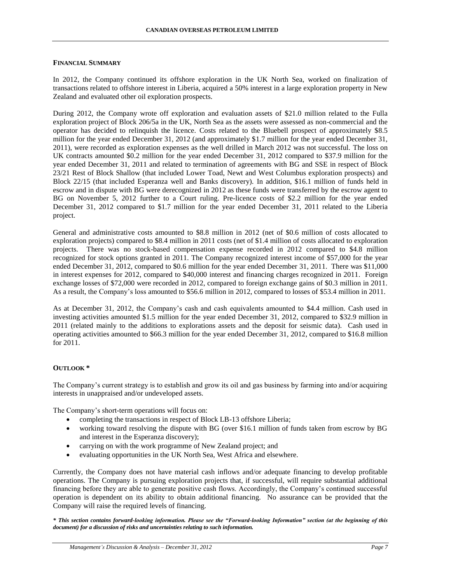## **FINANCIAL SUMMARY**

In 2012, the Company continued its offshore exploration in the UK North Sea, worked on finalization of transactions related to offshore interest in Liberia, acquired a 50% interest in a large exploration property in New Zealand and evaluated other oil exploration prospects.

During 2012, the Company wrote off exploration and evaluation assets of \$21.0 million related to the Fulla exploration project of Block 206/5a in the UK, North Sea as the assets were assessed as non-commercial and the operator has decided to relinquish the licence. Costs related to the Bluebell prospect of approximately \$8.5 million for the year ended December 31, 2012 (and approximately \$1.7 million for the year ended December 31, 2011), were recorded as exploration expenses as the well drilled in March 2012 was not successful. The loss on UK contracts amounted \$0.2 million for the year ended December 31, 2012 compared to \$37.9 million for the year ended December 31, 2011 and related to termination of agreements with BG and SSE in respect of Block 23/21 Rest of Block Shallow (that included Lower Toad, Newt and West Columbus exploration prospects) and Block 22/15 (that included Esperanza well and Banks discovery). In addition, \$16.1 million of funds held in escrow and in dispute with BG were derecognized in 2012 as these funds were transferred by the escrow agent to BG on November 5, 2012 further to a Court ruling. Pre-licence costs of \$2.2 million for the year ended December 31, 2012 compared to \$1.7 million for the year ended December 31, 2011 related to the Liberia project.

General and administrative costs amounted to \$8.8 million in 2012 (net of \$0.6 million of costs allocated to exploration projects) compared to \$8.4 million in 2011 costs (net of \$1.4 million of costs allocated to exploration projects. There was no stock-based compensation expense recorded in 2012 compared to \$4.8 million recognized for stock options granted in 2011. The Company recognized interest income of \$57,000 for the year ended December 31, 2012, compared to \$0.6 million for the year ended December 31, 2011. There was \$11,000 in interest expenses for 2012, compared to \$40,000 interest and financing charges recognized in 2011. Foreign exchange losses of \$72,000 were recorded in 2012, compared to foreign exchange gains of \$0.3 million in 2011. As a result, the Company's loss amounted to \$56.6 million in 2012, compared to losses of \$53.4 million in 2011.

As at December 31, 2012, the Company's cash and cash equivalents amounted to \$4.4 million. Cash used in investing activities amounted \$1.5 million for the year ended December 31, 2012, compared to \$32.9 million in 2011 (related mainly to the additions to explorations assets and the deposit for seismic data). Cash used in operating activities amounted to \$66.3 million for the year ended December 31, 2012, compared to \$16.8 million for 2011.

## **OUTLOOK \***

The Company's current strategy is to establish and grow its oil and gas business by farming into and/or acquiring interests in unappraised and/or undeveloped assets.

The Company's short-term operations will focus on:

- completing the transactions in respect of Block LB-13 offshore Liberia;
- working toward resolving the dispute with BG (over \$16.1 million of funds taken from escrow by BG and interest in the Esperanza discovery);
- carrying on with the work programme of New Zealand project; and
- evaluating opportunities in the UK North Sea, West Africa and elsewhere.

Currently, the Company does not have material cash inflows and/or adequate financing to develop profitable operations. The Company is pursuing exploration projects that, if successful, will require substantial additional financing before they are able to generate positive cash flows. Accordingly, the Company's continued successful operation is dependent on its ability to obtain additional financing. No assurance can be provided that the Company will raise the required levels of financing.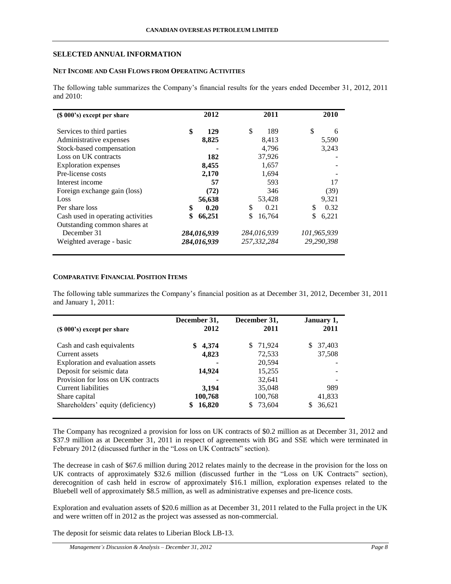## **SELECTED ANNUAL INFORMATION**

## **NET INCOME AND CASH FLOWS FROM OPERATING ACTIVITIES**

The following table summarizes the Company's financial results for the years ended December 31, 2012, 2011 and 2010:

| $(\$ 000's)$ except per share     |              | 2012   | 2011         |    | 2010        |
|-----------------------------------|--------------|--------|--------------|----|-------------|
| Services to third parties         | \$           | 129    | \$<br>189    | \$ | 6           |
| Administrative expenses           |              | 8,825  | 8,413        |    | 5,590       |
| Stock-based compensation          |              |        | 4,796        |    | 3,243       |
| Loss on UK contracts              |              | 182    | 37,926       |    |             |
| <b>Exploration</b> expenses       |              | 8,455  | 1,657        |    |             |
| Pre-license costs                 |              | 2,170  | 1,694        |    |             |
| Interest income                   |              | 57     | 593          |    | 17          |
| Foreign exchange gain (loss)      |              | (72)   | 346          |    | (39)        |
| Loss                              |              | 56,638 | 53,428       |    | 9,321       |
| Per share loss                    | \$           | 0.20   | \$<br>0.21   | S. | 0.32        |
| Cash used in operating activities | \$<br>66,251 |        | \$<br>16,764 | S  | 6,221       |
| Outstanding common shares at      |              |        |              |    |             |
| December 31                       | 284,016,939  |        | 284,016,939  |    | 101,965,939 |
| Weighted average - basic          | 284,016,939  |        | 257,332,284  |    | 29,290,398  |

# **COMPARATIVE FINANCIAL POSITION ITEMS**

The following table summarizes the Company's financial position as at December 31, 2012, December 31, 2011 and January 1, 2011:

| $(S 000's)$ except per share       | December 31,<br>2012 | December 31,<br>2011 | January 1,<br>2011 |
|------------------------------------|----------------------|----------------------|--------------------|
| Cash and cash equivalents          | 4,374<br>\$          | 71,924<br>\$.        | 37,403             |
| Current assets                     | 4,823                | 72,533               | 37,508             |
| Exploration and evaluation assets  |                      | 20,594               |                    |
| Deposit for seismic data           | 14,924               | 15,255               |                    |
| Provision for loss on UK contracts |                      | 32,641               |                    |
| Current liabilities                | 3,194                | 35,048               | 989                |
| Share capital                      | 100,768              | 100,768              | 41,833             |
| Shareholders' equity (deficiency)  | 16,820               | 73,604<br>S.         | 36,621             |

The Company has recognized a provision for loss on UK contracts of \$0.2 million as at December 31, 2012 and \$37.9 million as at December 31, 2011 in respect of agreements with BG and SSE which were terminated in February 2012 (discussed further in the "Loss on UK Contracts" section).

The decrease in cash of \$67.6 million during 2012 relates mainly to the decrease in the provision for the loss on UK contracts of approximately \$32.6 million (discussed further in the "Loss on UK Contracts" section), derecognition of cash held in escrow of approximately \$16.1 million, exploration expenses related to the Bluebell well of approximately \$8.5 million, as well as administrative expenses and pre-licence costs.

Exploration and evaluation assets of \$20.6 million as at December 31, 2011 related to the Fulla project in the UK and were written off in 2012 as the project was assessed as non-commercial.

The deposit for seismic data relates to Liberian Block LB-13.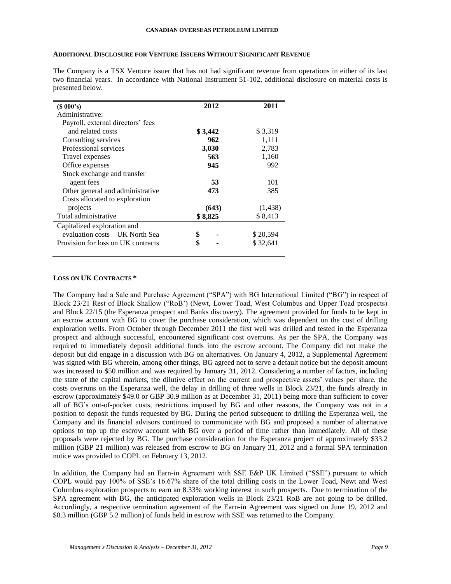## **ADDITIONAL DISCLOSURE FOR VENTURE ISSUERS WITHOUT SIGNIFICANT REVENUE**

The Company is a TSX Venture issuer that has not had significant revenue from operations in either of its last two financial years. In accordance with National Instrument 51-102, additional disclosure on material costs is presented below.

| (S 000's)                          | 2012    | 2011     |
|------------------------------------|---------|----------|
| Administrative:                    |         |          |
| Payroll, external directors' fees  |         |          |
| and related costs                  | \$3,442 | \$3,319  |
| Consulting services                | 962     | 1,111    |
| Professional services              | 3,030   | 2,783    |
| Travel expenses                    | 563     | 1,160    |
| Office expenses                    | 945     | 992      |
| Stock exchange and transfer        |         |          |
| agent fees                         | 53      | 101      |
| Other general and administrative   | 473     | 385      |
| Costs allocated to exploration     |         |          |
| projects                           | (643)   | (1, 438) |
| Total administrative               | \$8,825 | \$8,413  |
| Capitalized exploration and        |         |          |
| evaluation costs – UK North Sea    | \$      | \$20,594 |
| Provision for loss on UK contracts | \$      | \$32,641 |

## **LOSS ON UK CONTRACTS \***

The Company had a Sale and Purchase Agreement ("SPA") with BG International Limited ("BG") in respect of Block 23/21 Rest of Block Shallow ("RoB') (Newt, Lower Toad, West Columbus and Upper Toad prospects) and Block 22/15 (the Esperanza prospect and Banks discovery). The agreement provided for funds to be kept in an escrow account with BG to cover the purchase consideration, which was dependent on the cost of drilling exploration wells. From October through December 2011 the first well was drilled and tested in the Esperanza prospect and although successful, encountered significant cost overruns. As per the SPA, the Company was required to immediately deposit additional funds into the escrow account. The Company did not make the deposit but did engage in a discussion with BG on alternatives. On January 4, 2012, a Supplemental Agreement was signed with BG wherein, among other things, BG agreed not to serve a default notice but the deposit amount was increased to \$50 million and was required by January 31, 2012. Considering a number of factors, including the state of the capital markets, the dilutive effect on the current and prospective assets' values per share, the costs overruns on the Esperanza well, the delay in drilling of three wells in Block 23/21, the funds already in escrow (approximately \$49.0 or GBP 30.9 million as at December 31, 2011) being more than sufficient to cover all of BG's out-of-pocket costs, restrictions imposed by BG and other reasons, the Company was not in a position to deposit the funds requested by BG. During the period subsequent to drilling the Esperanza well, the Company and its financial advisors continued to communicate with BG and proposed a number of alternative options to top up the escrow account with BG over a period of time rather than immediately. All of these proposals were rejected by BG. The purchase consideration for the Esperanza project of approximately \$33.2 million (GBP 21 million) was released from escrow to BG on January 31, 2012 and a formal SPA termination notice was provided to COPL on February 13, 2012.

In addition, the Company had an Earn-in Agreement with SSE E&P UK Limited ("SSE") pursuant to which COPL would pay 100% of SSE's 16.67% share of the total drilling costs in the Lower Toad, Newt and West Columbus exploration prospects to earn an 8.33% working interest in such prospects. Due to termination of the SPA agreement with BG, the anticipated exploration wells in Block 23/21 RoB are not going to be drilled. Accordingly, a respective termination agreement of the Earn-in Agreement was signed on June 19, 2012 and \$8.3 million (GBP 5.2 million) of funds held in escrow with SSE was returned to the Company.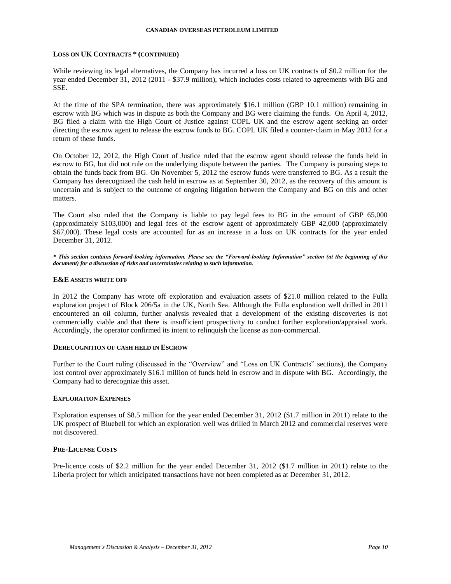## **LOSS ON UK CONTRACTS \* (CONTINUED)**

While reviewing its legal alternatives, the Company has incurred a loss on UK contracts of \$0.2 million for the year ended December 31, 2012 (2011 - \$37.9 million), which includes costs related to agreements with BG and SSE.

At the time of the SPA termination, there was approximately \$16.1 million (GBP 10.1 million) remaining in escrow with BG which was in dispute as both the Company and BG were claiming the funds. On April 4, 2012, BG filed a claim with the High Court of Justice against COPL UK and the escrow agent seeking an order directing the escrow agent to release the escrow funds to BG. COPL UK filed a counter-claim in May 2012 for a return of these funds.

On October 12, 2012, the High Court of Justice ruled that the escrow agent should release the funds held in escrow to BG, but did not rule on the underlying dispute between the parties. The Company is pursuing steps to obtain the funds back from BG. On November 5, 2012 the escrow funds were transferred to BG. As a result the Company has derecognized the cash held in escrow as at September 30, 2012, as the recovery of this amount is uncertain and is subject to the outcome of ongoing litigation between the Company and BG on this and other matters.

The Court also ruled that the Company is liable to pay legal fees to BG in the amount of GBP 65,000 (approximately \$103,000) and legal fees of the escrow agent of approximately GBP 42,000 (approximately \$67,000). These legal costs are accounted for as an increase in a loss on UK contracts for the year ended December 31, 2012.

*\* This section contains forward-looking information. Please see the "Forward-looking Information" section (at the beginning of this document) for a discussion of risks and uncertainties relating to such information.*

## **E&E ASSETS WRITE OFF**

In 2012 the Company has wrote off exploration and evaluation assets of \$21.0 million related to the Fulla exploration project of Block 206/5a in the UK, North Sea. Although the Fulla exploration well drilled in 2011 encountered an oil column, further analysis revealed that a development of the existing discoveries is not commercially viable and that there is insufficient prospectivity to conduct further exploration/appraisal work. Accordingly, the operator confirmed its intent to relinquish the license as non-commercial.

#### **DERECOGNITION OF CASH HELD IN ESCROW**

Further to the Court ruling (discussed in the "Overview" and "Loss on UK Contracts" sections), the Company lost control over approximately \$16.1 million of funds held in escrow and in dispute with BG. Accordingly, the Company had to derecognize this asset.

## **EXPLORATION EXPENSES**

Exploration expenses of \$8.5 million for the year ended December 31, 2012 (\$1.7 million in 2011) relate to the UK prospect of Bluebell for which an exploration well was drilled in March 2012 and commercial reserves were not discovered.

## **PRE-LICENSE COSTS**

Pre-licence costs of \$2.2 million for the year ended December 31, 2012 (\$1.7 million in 2011) relate to the Liberia project for which anticipated transactions have not been completed as at December 31, 2012.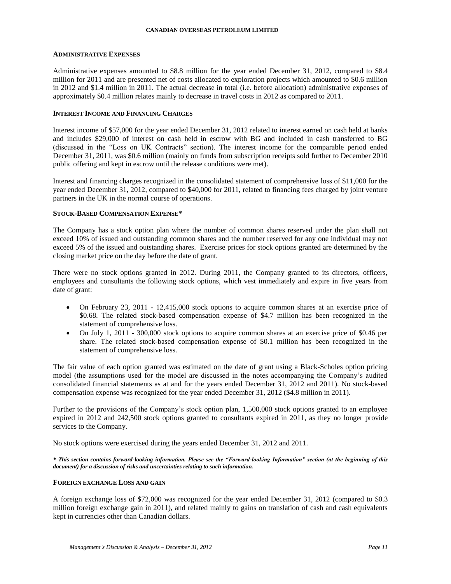#### **ADMINISTRATIVE EXPENSES**

Administrative expenses amounted to \$8.8 million for the year ended December 31, 2012, compared to \$8.4 million for 2011 and are presented net of costs allocated to exploration projects which amounted to \$0.6 million in 2012 and \$1.4 million in 2011. The actual decrease in total (i.e. before allocation) administrative expenses of approximately \$0.4 million relates mainly to decrease in travel costs in 2012 as compared to 2011.

## **INTEREST INCOME AND FINANCING CHARGES**

Interest income of \$57,000 for the year ended December 31, 2012 related to interest earned on cash held at banks and includes \$29,000 of interest on cash held in escrow with BG and included in cash transferred to BG (discussed in the "Loss on UK Contracts" section). The interest income for the comparable period ended December 31, 2011, was \$0.6 million (mainly on funds from subscription receipts sold further to December 2010 public offering and kept in escrow until the release conditions were met).

Interest and financing charges recognized in the consolidated statement of comprehensive loss of \$11,000 for the year ended December 31, 2012, compared to \$40,000 for 2011, related to financing fees charged by joint venture partners in the UK in the normal course of operations.

## **STOCK-BASED COMPENSATION EXPENSE\***

The Company has a stock option plan where the number of common shares reserved under the plan shall not exceed 10% of issued and outstanding common shares and the number reserved for any one individual may not exceed 5% of the issued and outstanding shares. Exercise prices for stock options granted are determined by the closing market price on the day before the date of grant.

There were no stock options granted in 2012. During 2011, the Company granted to its directors, officers, employees and consultants the following stock options, which vest immediately and expire in five years from date of grant:

- On February 23, 2011 12,415,000 stock options to acquire common shares at an exercise price of \$0.68. The related stock-based compensation expense of \$4.7 million has been recognized in the statement of comprehensive loss.
- On July 1, 2011 300,000 stock options to acquire common shares at an exercise price of \$0.46 per share. The related stock-based compensation expense of \$0.1 million has been recognized in the statement of comprehensive loss.

The fair value of each option granted was estimated on the date of grant using a Black-Scholes option pricing model (the assumptions used for the model are discussed in the notes accompanying the Company's audited consolidated financial statements as at and for the years ended December 31, 2012 and 2011). No stock-based compensation expense was recognized for the year ended December 31, 2012 (\$4.8 million in 2011).

Further to the provisions of the Company's stock option plan, 1,500,000 stock options granted to an employee expired in 2012 and 242,500 stock options granted to consultants expired in 2011, as they no longer provide services to the Company.

No stock options were exercised during the years ended December 31, 2012 and 2011.

*\* This section contains forward-looking information. Please see the "Forward-looking Information" section (at the beginning of this document) for a discussion of risks and uncertainties relating to such information.*

## **FOREIGN EXCHANGE LOSS AND GAIN**

A foreign exchange loss of \$72,000 was recognized for the year ended December 31, 2012 (compared to \$0.3 million foreign exchange gain in 2011), and related mainly to gains on translation of cash and cash equivalents kept in currencies other than Canadian dollars.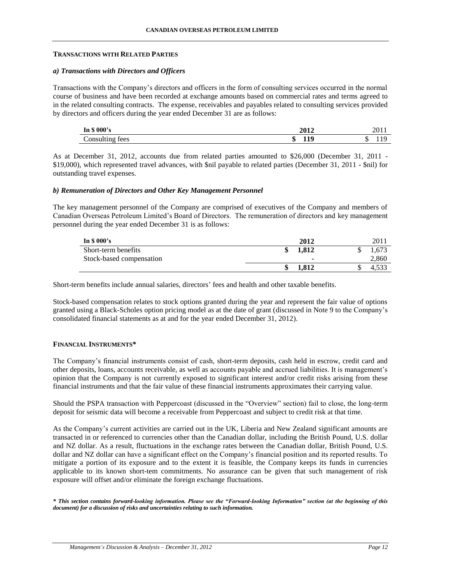## **TRANSACTIONS WITH RELATED PARTIES**

## *a) Transactions with Directors and Officers*

Transactions with the Company's directors and officers in the form of consulting services occurred in the normal course of business and have been recorded at exchange amounts based on commercial rates and terms agreed to in the related consulting contracts. The expense, receivables and payables related to consulting services provided by directors and officers during the year ended December 31 are as follows:

| $\mathbf{v}$ n \$ 000's       | 2012         | ∠UI -     |
|-------------------------------|--------------|-----------|
| $\triangle$ onsulting<br>tees | 10<br>ιD<br> | ι.<br>. . |

As at December 31, 2012, accounts due from related parties amounted to \$26,000 (December 31, 2011 - \$19,000), which represented travel advances, with \$nil payable to related parties (December 31, 2011 - \$nil) for outstanding travel expenses.

## *b) Remuneration of Directors and Other Key Management Personnel*

The key management personnel of the Company are comprised of executives of the Company and members of Canadian Overseas Petroleum Limited's Board of Directors. The remuneration of directors and key management personnel during the year ended December 31 is as follows:

| In $$000's$              | 2012        | 201   |
|--------------------------|-------------|-------|
| Short-term benefits      | 1.812<br>ιВ | .673  |
| Stock-based compensation | -           | 2,860 |
|                          | 1.812<br>ιВ | +.JJJ |

Short-term benefits include annual salaries, directors' fees and health and other taxable benefits.

Stock-based compensation relates to stock options granted during the year and represent the fair value of options granted using a Black-Scholes option pricing model as at the date of grant (discussed in Note 9 to the Company's consolidated financial statements as at and for the year ended December 31, 2012).

## **FINANCIAL INSTRUMENTS\***

The Company's financial instruments consist of cash, short-term deposits, cash held in escrow, credit card and other deposits, loans, accounts receivable, as well as accounts payable and accrued liabilities. It is management's opinion that the Company is not currently exposed to significant interest and/or credit risks arising from these financial instruments and that the fair value of these financial instruments approximates their carrying value.

Should the PSPA transaction with Peppercoast (discussed in the "Overview" section) fail to close, the long-term deposit for seismic data will become a receivable from Peppercoast and subject to credit risk at that time.

As the Company's current activities are carried out in the UK, Liberia and New Zealand significant amounts are transacted in or referenced to currencies other than the Canadian dollar, including the British Pound, U.S. dollar and NZ dollar. As a result, fluctuations in the exchange rates between the Canadian dollar, British Pound, U.S. dollar and NZ dollar can have a significant effect on the Company's financial position and its reported results. To mitigate a portion of its exposure and to the extent it is feasible, the Company keeps its funds in currencies applicable to its known short-tem commitments. No assurance can be given that such management of risk exposure will offset and/or eliminate the foreign exchange fluctuations.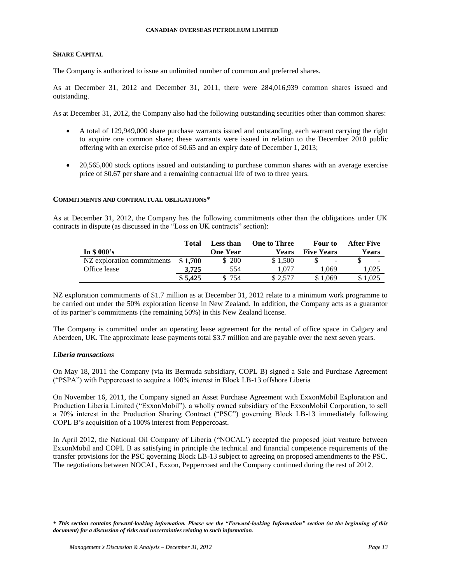## **SHARE CAPITAL**

The Company is authorized to issue an unlimited number of common and preferred shares.

As at December 31, 2012 and December 31, 2011, there were 284,016,939 common shares issued and outstanding.

As at December 31, 2012, the Company also had the following outstanding securities other than common shares:

- A total of 129,949,000 share purchase warrants issued and outstanding, each warrant carrying the right to acquire one common share; these warrants were issued in relation to the December 2010 public offering with an exercise price of \$0.65 and an expiry date of December 1, 2013;
- 20,565,000 stock options issued and outstanding to purchase common shares with an average exercise price of \$0.67 per share and a remaining contractual life of two to three years.

## **COMMITMENTS AND CONTRACTUAL OBLIGATIONS\***

As at December 31, 2012, the Company has the following commitments other than the obligations under UK contracts in dispute (as discussed in the "Loss on UK contracts" section):

|                                     | Total   | Less than | <b>One to Three</b> | <b>Four to</b>    | After Five   |
|-------------------------------------|---------|-----------|---------------------|-------------------|--------------|
| In $$000's$                         |         | One Year  | Years               | <b>Five Years</b> | <b>Years</b> |
| NZ exploration commitments $$1,700$ |         | \$200     | \$1.500             | $\sim$            |              |
| Office lease                        | 3.725   | 554       | 1.077               | 1.069             | 1.025        |
|                                     | \$5,425 | \$754     | \$2.577             | \$1.069           | \$1.025      |

NZ exploration commitments of \$1.7 million as at December 31, 2012 relate to a minimum work programme to be carried out under the 50% exploration license in New Zealand. In addition, the Company acts as a guarantor of its partner's commitments (the remaining 50%) in this New Zealand license.

The Company is committed under an operating lease agreement for the rental of office space in Calgary and Aberdeen, UK. The approximate lease payments total \$3.7 million and are payable over the next seven years.

## *Liberia transactions*

On May 18, 2011 the Company (via its Bermuda subsidiary, COPL B) signed a Sale and Purchase Agreement ("PSPA") with Peppercoast to acquire a 100% interest in Block LB-13 offshore Liberia

On November 16, 2011, the Company signed an Asset Purchase Agreement with ExxonMobil Exploration and Production Liberia Limited ("ExxonMobil"), a wholly owned subsidiary of the ExxonMobil Corporation, to sell a 70% interest in the Production Sharing Contract ("PSC") governing Block LB-13 immediately following COPL B's acquisition of a 100% interest from Peppercoast.

In April 2012, the National Oil Company of Liberia ("NOCAL') accepted the proposed joint venture between ExxonMobil and COPL B as satisfying in principle the technical and financial competence requirements of the transfer provisions for the PSC governing Block LB-13 subject to agreeing on proposed amendments to the PSC. The negotiations between NOCAL, Exxon, Peppercoast and the Company continued during the rest of 2012.

*<sup>\*</sup> This section contains forward-looking information. Please see the "Forward-looking Information" section (at the beginning of this document) for a discussion of risks and uncertainties relating to such information.*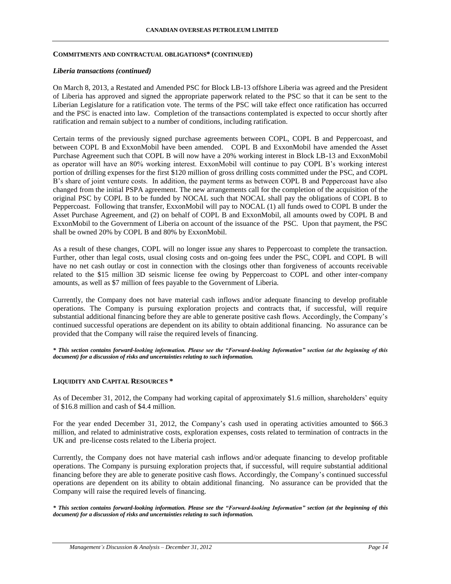#### **COMMITMENTS AND CONTRACTUAL OBLIGATIONS\* (CONTINUED)**

### *Liberia transactions (continued)*

On March 8, 2013, a Restated and Amended PSC for Block LB-13 offshore Liberia was agreed and the President of Liberia has approved and signed the appropriate paperwork related to the PSC so that it can be sent to the Liberian Legislature for a ratification vote. The terms of the PSC will take effect once ratification has occurred and the PSC is enacted into law. Completion of the transactions contemplated is expected to occur shortly after ratification and remain subject to a number of conditions, including ratification.

Certain terms of the previously signed purchase agreements between COPL, COPL B and Peppercoast, and between COPL B and ExxonMobil have been amended. COPL B and ExxonMobil have amended the Asset Purchase Agreement such that COPL B will now have a 20% working interest in Block LB-13 and ExxonMobil as operator will have an 80% working interest. ExxonMobil will continue to pay COPL B's working interest portion of drilling expenses for the first \$120 million of gross drilling costs committed under the PSC, and COPL B's share of joint venture costs. In addition, the payment terms as between COPL B and Peppercoast have also changed from the initial PSPA agreement. The new arrangements call for the completion of the acquisition of the original PSC by COPL B to be funded by NOCAL such that NOCAL shall pay the obligations of COPL B to Peppercoast. Following that transfer, ExxonMobil will pay to NOCAL (1) all funds owed to COPL B under the Asset Purchase Agreement, and (2) on behalf of COPL B and ExxonMobil, all amounts owed by COPL B and ExxonMobil to the Government of Liberia on account of the issuance of the PSC. Upon that payment, the PSC shall be owned 20% by COPL B and 80% by ExxonMobil.

As a result of these changes, COPL will no longer issue any shares to Peppercoast to complete the transaction. Further, other than legal costs, usual closing costs and on-going fees under the PSC, COPL and COPL B will have no net cash outlay or cost in connection with the closings other than forgiveness of accounts receivable related to the \$15 million 3D seismic license fee owing by Peppercoast to COPL and other inter-company amounts, as well as \$7 million of fees payable to the Government of Liberia.

Currently, the Company does not have material cash inflows and/or adequate financing to develop profitable operations. The Company is pursuing exploration projects and contracts that, if successful, will require substantial additional financing before they are able to generate positive cash flows. Accordingly, the Company's continued successful operations are dependent on its ability to obtain additional financing. No assurance can be provided that the Company will raise the required levels of financing.

*\* This section contains forward-looking information. Please see the "Forward-looking Information" section (at the beginning of this document) for a discussion of risks and uncertainties relating to such information.*

## **LIQUIDITY AND CAPITAL RESOURCES \***

As of December 31, 2012, the Company had working capital of approximately \$1.6 million, shareholders' equity of \$16.8 million and cash of \$4.4 million.

For the year ended December 31, 2012, the Company's cash used in operating activities amounted to \$66.3 million, and related to administrative costs, exploration expenses, costs related to termination of contracts in the UK and pre-license costs related to the Liberia project.

Currently, the Company does not have material cash inflows and/or adequate financing to develop profitable operations. The Company is pursuing exploration projects that, if successful, will require substantial additional financing before they are able to generate positive cash flows. Accordingly, the Company's continued successful operations are dependent on its ability to obtain additional financing. No assurance can be provided that the Company will raise the required levels of financing.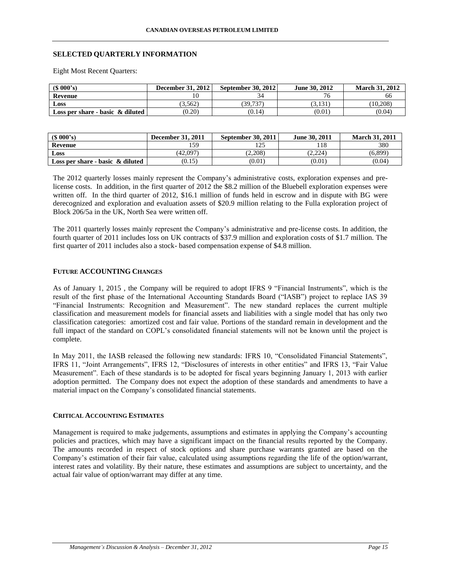## **SELECTED QUARTERLY INFORMATION**

Eight Most Recent Quarters:

| $(S\ 000's)$                        | <b>December 31, 2012</b> | <b>September 30, 2012</b> | June 30, 2012 | <b>March 31, 2012</b> |
|-------------------------------------|--------------------------|---------------------------|---------------|-----------------------|
| Revenue                             |                          |                           |               | 66                    |
| Loss                                | 3,562                    | (39, 737)                 | 3,131         | (10.208)              |
| Loss per share - basic $\&$ diluted | (0.20)                   | (0.14)                    | (0.01)        | (0.04)                |

| (S 000's)                           | December 31, 2011 | September 30, 2011 | June 30, 2011 | <b>March 31, 2011</b> |
|-------------------------------------|-------------------|--------------------|---------------|-----------------------|
| Revenue                             | 159               | ر بے ر             | 118           | 380                   |
| Loss                                | (42.097)          | (2.208)            | (2.224)       | (6,899)               |
| Loss per share - basic $\&$ diluted | (0.15)            | (0.01)             | (0.01)        | (0.04)                |

The 2012 quarterly losses mainly represent the Company's administrative costs, exploration expenses and prelicense costs. In addition, in the first quarter of 2012 the \$8.2 million of the Bluebell exploration expenses were written off. In the third quarter of 2012, \$16.1 million of funds held in escrow and in dispute with BG were derecognized and exploration and evaluation assets of \$20.9 million relating to the Fulla exploration project of Block 206/5a in the UK, North Sea were written off.

The 2011 quarterly losses mainly represent the Company's administrative and pre-license costs. In addition, the fourth quarter of 2011 includes loss on UK contracts of \$37.9 million and exploration costs of \$1.7 million. The first quarter of 2011 includes also a stock- based compensation expense of \$4.8 million.

## **FUTURE ACCOUNTING CHANGES**

As of January 1, 2015 , the Company will be required to adopt IFRS 9 "Financial Instruments", which is the result of the first phase of the International Accounting Standards Board ("IASB") project to replace IAS 39 "Financial Instruments: Recognition and Measurement". The new standard replaces the current multiple classification and measurement models for financial assets and liabilities with a single model that has only two classification categories: amortized cost and fair value. Portions of the standard remain in development and the full impact of the standard on COPL's consolidated financial statements will not be known until the project is complete.

In May 2011, the IASB released the following new standards: IFRS 10, "Consolidated Financial Statements", IFRS 11, "Joint Arrangements", IFRS 12, "Disclosures of interests in other entities" and IFRS 13, "Fair Value Measurement". Each of these standards is to be adopted for fiscal years beginning January 1, 2013 with earlier adoption permitted. The Company does not expect the adoption of these standards and amendments to have a material impact on the Company's consolidated financial statements.

#### **CRITICAL ACCOUNTING ESTIMATES**

Management is required to make judgements, assumptions and estimates in applying the Company's accounting policies and practices, which may have a significant impact on the financial results reported by the Company. The amounts recorded in respect of stock options and share purchase warrants granted are based on the Company's estimation of their fair value, calculated using assumptions regarding the life of the option/warrant, interest rates and volatility. By their nature, these estimates and assumptions are subject to uncertainty, and the actual fair value of option/warrant may differ at any time.